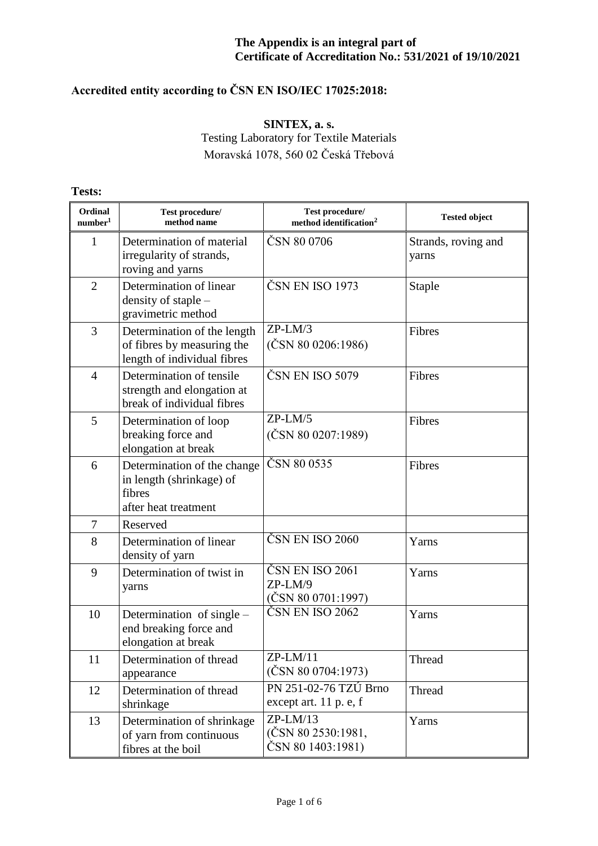# **Accredited entity according to ČSN EN ISO/IEC 17025:2018:**

### **SINTEX, a. s.** Testing Laboratory for Textile Materials Moravská 1078, 560 02 Česká Třebová

**Tests:**

| Ordinal<br>number <sup>1</sup> | Test procedure/<br>method name                                                            | Test procedure/<br>method identification <sup>2</sup>       | <b>Tested object</b>         |
|--------------------------------|-------------------------------------------------------------------------------------------|-------------------------------------------------------------|------------------------------|
| 1                              | Determination of material<br>irregularity of strands,<br>roving and yarns                 | ČSN 80 0706                                                 | Strands, roving and<br>yarns |
| $\overline{2}$                 | Determination of linear<br>density of staple -<br>gravimetric method                      | ČSN EN ISO 1973                                             | <b>Staple</b>                |
| 3                              | Determination of the length<br>of fibres by measuring the<br>length of individual fibres  | $ZP-LM/3$<br>(ČSN 80 0206:1986)                             | Fibres                       |
| $\overline{4}$                 | Determination of tensile<br>strength and elongation at<br>break of individual fibres      | ČSN EN ISO 5079                                             | Fibres                       |
| 5                              | Determination of loop<br>breaking force and<br>elongation at break                        | $ZP-LM/5$<br>$(\textcolor{red}{\text{CSN}}\,80\,0207:1989)$ | Fibres                       |
| 6                              | Determination of the change<br>in length (shrinkage) of<br>fibres<br>after heat treatment | ČSN 80 0535                                                 | Fibres                       |
| 7                              | Reserved                                                                                  |                                                             |                              |
| 8                              | Determination of linear<br>density of yarn                                                | ČSN EN ISO 2060                                             | Yarns                        |
| 9                              | Determination of twist in<br>yarns                                                        | ČSN EN ISO 2061<br>$ZP-LM/9$<br>(ČSN 80 0701:1997)          | Yarns                        |
| 10                             | Determination of single –<br>end breaking force and<br>elongation at break                | ČSN EN ISO 2062                                             | Yarns                        |
| 11                             | Determination of thread<br>appearance                                                     | $ZP-LM/11$<br>$(\text{ČSN } 80 0704:1973)$                  | Thread                       |
| 12                             | Determination of thread<br>shrinkage                                                      | PN 251-02-76 TZÚ Brno<br>except art. 11 p. e, f             | Thread                       |
| 13                             | Determination of shrinkage<br>of yarn from continuous<br>fibres at the boil               | $ZP-LM/13$<br>(ČSN 80 2530:1981,<br>ČSN 80 1403:1981)       | Yarns                        |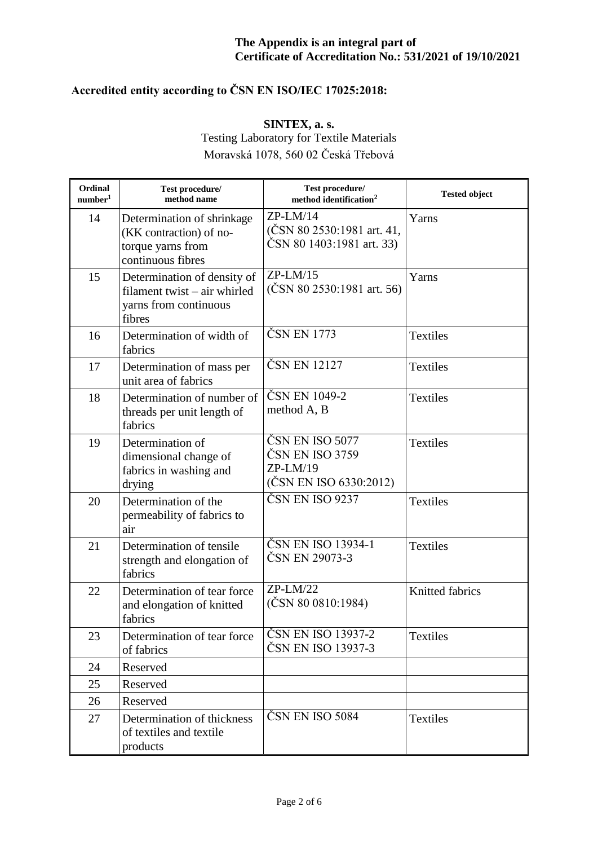# **Accredited entity according to ČSN EN ISO/IEC 17025:2018:**

**SINTEX, a. s.**

Testing Laboratory for Textile Materials Moravská 1078, 560 02 Česká Třebová

| Ordinal<br>number <sup>1</sup> | Test procedure/<br>method name                                                                  | Test procedure/<br>method identification <sup>2</sup>                      | <b>Tested object</b> |
|--------------------------------|-------------------------------------------------------------------------------------------------|----------------------------------------------------------------------------|----------------------|
| 14                             | Determination of shrinkage<br>(KK contraction) of no-<br>torque yarns from<br>continuous fibres | $ZP-LM/14$<br>$(CSN 80 2530:1981$ art. 41,<br>ČSN 80 1403:1981 art. 33)    | Yarns                |
| 15                             | Determination of density of<br>filament twist – air whirled<br>yarns from continuous<br>fibres  | $ZP-LM/15$<br>$(\text{ČSN } 80 2530:1981 \text{ art. } 56)$                | Yarns                |
| 16                             | Determination of width of<br>fabrics                                                            | ČSN EN 1773                                                                | Textiles             |
| 17                             | Determination of mass per<br>unit area of fabrics                                               | ČSN EN 12127                                                               | <b>Textiles</b>      |
| 18                             | Determination of number of<br>threads per unit length of<br>fabrics                             | ČSN EN 1049-2<br>method A, B                                               | Textiles             |
| 19                             | Determination of<br>dimensional change of<br>fabrics in washing and<br>drying                   | ČSN EN ISO 5077<br>ČSN EN ISO 3759<br>$ZP-LM/19$<br>(ČSN EN ISO 6330:2012) | Textiles             |
| 20                             | Determination of the<br>permeability of fabrics to<br>air                                       | ČSN EN ISO 9237                                                            | Textiles             |
| 21                             | Determination of tensile<br>strength and elongation of<br>fabrics                               | ČSN EN ISO 13934-1<br>ČSN EN 29073-3                                       | <b>Textiles</b>      |
| 22                             | Determination of tear force<br>and elongation of knitted<br>fabrics                             | $ZP-LM/22$<br>$(\text{ČSN } 80 0810:1984)$                                 | Knitted fabrics      |
| 23                             | Determination of tear force<br>of fabrics                                                       | ČSN EN ISO 13937-2<br>ČSN EN ISO 13937-3                                   | <b>Textiles</b>      |
| 24                             | Reserved                                                                                        |                                                                            |                      |
| 25                             | Reserved                                                                                        |                                                                            |                      |
| 26                             | Reserved                                                                                        |                                                                            |                      |
| 27                             | Determination of thickness<br>of textiles and textile<br>products                               | ČSN EN ISO 5084                                                            | Textiles             |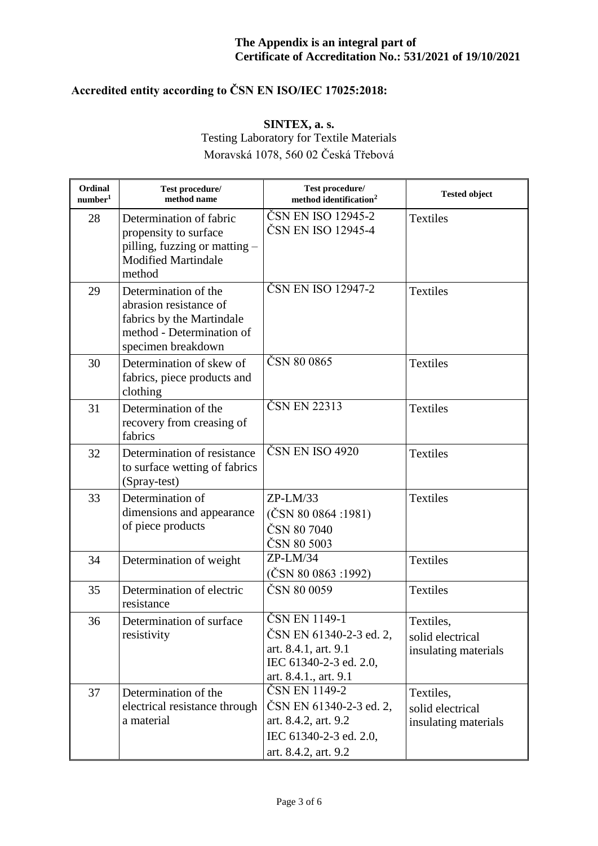# **Accredited entity according to ČSN EN ISO/IEC 17025:2018:**

**SINTEX, a. s.** Testing Laboratory for Textile Materials Moravská 1078, 560 02 Česká Třebová

| Ordinal<br>number <sup>1</sup> | Test procedure/<br>method name                                                                                                 | Test procedure/<br>method identification <sup>2</sup>                                                               | <b>Tested object</b>                                  |
|--------------------------------|--------------------------------------------------------------------------------------------------------------------------------|---------------------------------------------------------------------------------------------------------------------|-------------------------------------------------------|
| 28                             | Determination of fabric<br>propensity to surface<br>pilling, fuzzing or matting –<br><b>Modified Martindale</b><br>method      | ČSN EN ISO 12945-2<br>ČSN EN ISO 12945-4                                                                            | <b>Textiles</b>                                       |
| 29                             | Determination of the<br>abrasion resistance of<br>fabrics by the Martindale<br>method - Determination of<br>specimen breakdown | ČSN EN ISO 12947-2                                                                                                  | <b>Textiles</b>                                       |
| 30                             | Determination of skew of<br>fabrics, piece products and<br>clothing                                                            | ČSN 80 0865                                                                                                         | Textiles                                              |
| 31                             | Determination of the<br>recovery from creasing of<br>fabrics                                                                   | ČSN EN 22313                                                                                                        | Textiles                                              |
| 32                             | Determination of resistance<br>to surface wetting of fabrics<br>(Spray-test)                                                   | ČSN EN ISO 4920                                                                                                     | Textiles                                              |
| 33                             | Determination of<br>dimensions and appearance<br>of piece products                                                             | $ZP-LM/33$<br>$(\text{ČSN } 80 0864 : 1981)$<br>ČSN 80 7040<br>ČSN 80 5003                                          | <b>Textiles</b>                                       |
| 34                             | Determination of weight                                                                                                        | $ZP-LM/34$<br>$(\text{ČSN } 80 0863 : 1992)$                                                                        | Textiles                                              |
| 35                             | Determination of electric<br>resistance                                                                                        | ČSN 80 0059                                                                                                         | <b>Textiles</b>                                       |
| 36                             | Determination of surface<br>resistivity                                                                                        | ČSN EN 1149-1<br>ČSN EN 61340-2-3 ed. 2,<br>art. 8.4.1, art. 9.1<br>IEC 61340-2-3 ed. 2.0,<br>art. 8.4.1., art. 9.1 | Textiles,<br>solid electrical<br>insulating materials |
| 37                             | Determination of the<br>electrical resistance through<br>a material                                                            | ČSN EN 1149-2<br>ČSN EN 61340-2-3 ed. 2,<br>art. 8.4.2, art. 9.2<br>IEC 61340-2-3 ed. 2.0,<br>art. 8.4.2, art. 9.2  | Textiles,<br>solid electrical<br>insulating materials |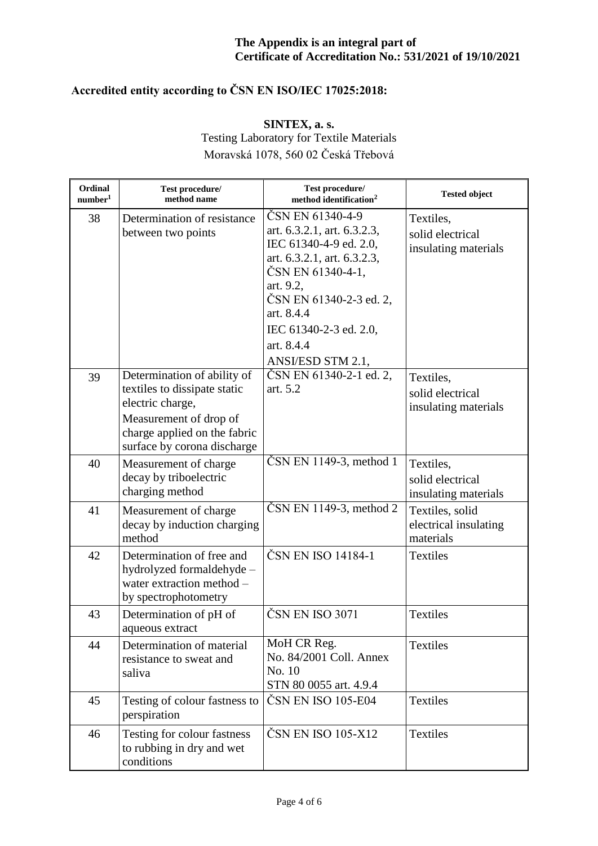# **Accredited entity according to ČSN EN ISO/IEC 17025:2018:**

### **SINTEX, a. s.** Testing Laboratory for Textile Materials Moravská 1078, 560 02 Česká Třebová

| Ordinal<br>number <sup>1</sup> | Test procedure/<br>method name                                                                                                                                           | Test procedure/<br>method identification <sup>2</sup>                                                                                                                                                                                            | <b>Tested object</b>                                  |
|--------------------------------|--------------------------------------------------------------------------------------------------------------------------------------------------------------------------|--------------------------------------------------------------------------------------------------------------------------------------------------------------------------------------------------------------------------------------------------|-------------------------------------------------------|
| 38                             | Determination of resistance<br>between two points                                                                                                                        | ČSN EN 61340-4-9<br>art. 6.3.2.1, art. 6.3.2.3,<br>IEC 61340-4-9 ed. 2.0,<br>art. 6.3.2.1, art. 6.3.2.3,<br>ČSN EN 61340-4-1,<br>art. 9.2,<br>ČSN EN 61340-2-3 ed. 2,<br>art. 8.4.4<br>IEC 61340-2-3 ed. 2.0,<br>art. 8.4.4<br>ANSI/ESD STM 2.1, | Textiles,<br>solid electrical<br>insulating materials |
| 39                             | Determination of ability of<br>textiles to dissipate static<br>electric charge,<br>Measurement of drop of<br>charge applied on the fabric<br>surface by corona discharge | ČSN EN 61340-2-1 ed. 2,<br>art. 5.2                                                                                                                                                                                                              | Textiles,<br>solid electrical<br>insulating materials |
| 40                             | Measurement of charge<br>decay by triboelectric<br>charging method                                                                                                       | $\text{CSN}$ EN 1149-3, method 1                                                                                                                                                                                                                 | Textiles.<br>solid electrical<br>insulating materials |
| 41                             | Measurement of charge<br>decay by induction charging<br>method                                                                                                           | $\text{ČSN}$ EN 1149-3, method 2                                                                                                                                                                                                                 | Textiles, solid<br>electrical insulating<br>materials |
| 42                             | Determination of free and<br>hydrolyzed formaldehyde -<br>water extraction method -<br>by spectrophotometry                                                              | ČSN EN ISO 14184-1                                                                                                                                                                                                                               | <b>Textiles</b>                                       |
| 43                             | Determination of pH of<br>aqueous extract                                                                                                                                | ČSN EN ISO 3071                                                                                                                                                                                                                                  | <b>Textiles</b>                                       |
| 44                             | Determination of material<br>resistance to sweat and<br>saliva                                                                                                           | MoH CR Reg.<br>No. 84/2001 Coll. Annex<br>No. 10<br>STN 80 0055 art. 4.9.4                                                                                                                                                                       | <b>Textiles</b>                                       |
| 45                             | Testing of colour fastness to<br>perspiration                                                                                                                            | ČSN EN ISO 105-E04                                                                                                                                                                                                                               | <b>Textiles</b>                                       |
| 46                             | Testing for colour fastness<br>to rubbing in dry and wet<br>conditions                                                                                                   | ČSN EN ISO 105-X12                                                                                                                                                                                                                               | <b>Textiles</b>                                       |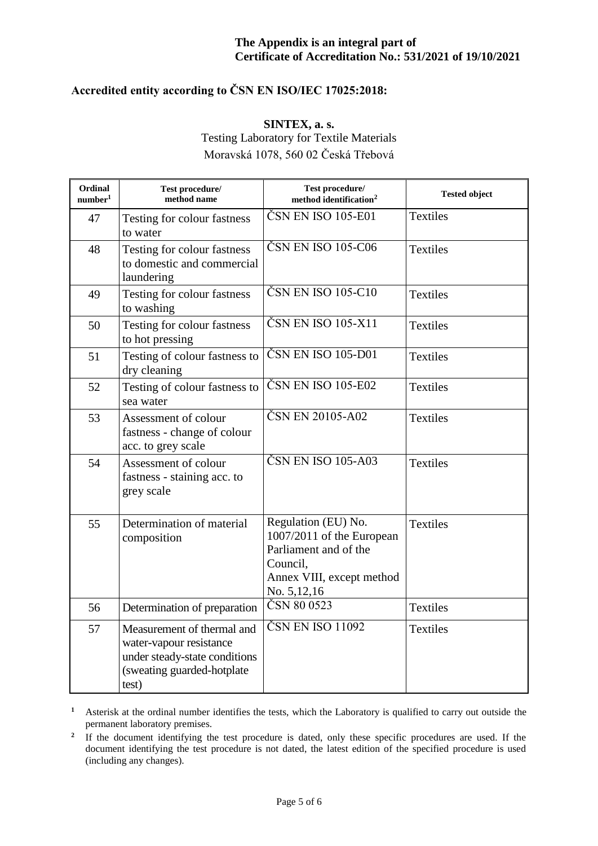## **Accredited entity according to ČSN EN ISO/IEC 17025:2018:**

**SINTEX, a. s.**

Testing Laboratory for Textile Materials Moravská 1078, 560 02 Česká Třebová

| Ordinal<br>number <sup>1</sup> | Test procedure/<br>method name                                                                                                | Test procedure/<br>method identification <sup>2</sup>                                                                             | <b>Tested object</b> |
|--------------------------------|-------------------------------------------------------------------------------------------------------------------------------|-----------------------------------------------------------------------------------------------------------------------------------|----------------------|
| 47                             | Testing for colour fastness<br>to water                                                                                       | ČSN EN ISO 105-E01                                                                                                                | <b>Textiles</b>      |
| 48                             | Testing for colour fastness<br>to domestic and commercial<br>laundering                                                       | ČSN EN ISO 105-C06                                                                                                                | <b>Textiles</b>      |
| 49                             | Testing for colour fastness<br>to washing                                                                                     | ČSN EN ISO 105-C10                                                                                                                | <b>Textiles</b>      |
| 50                             | Testing for colour fastness<br>to hot pressing                                                                                | ČSN EN ISO 105-X11                                                                                                                | <b>Textiles</b>      |
| 51                             | Testing of colour fastness to<br>dry cleaning                                                                                 | ČSN EN ISO 105-D01                                                                                                                | Textiles             |
| 52                             | Testing of colour fastness to<br>sea water                                                                                    | ČSN EN ISO 105-E02                                                                                                                | <b>Textiles</b>      |
| 53                             | Assessment of colour<br>fastness - change of colour<br>acc. to grey scale                                                     | ČSN EN 20105-A02                                                                                                                  | <b>Textiles</b>      |
| 54                             | Assessment of colour<br>fastness - staining acc. to<br>grey scale                                                             | ČSN EN ISO 105-A03                                                                                                                | <b>Textiles</b>      |
| 55                             | Determination of material<br>composition                                                                                      | Regulation (EU) No.<br>1007/2011 of the European<br>Parliament and of the<br>Council,<br>Annex VIII, except method<br>No. 5,12,16 | <b>Textiles</b>      |
| 56                             | Determination of preparation                                                                                                  | ČSN 80 0523                                                                                                                       | <b>Textiles</b>      |
| 57                             | Measurement of thermal and<br>water-vapour resistance<br>under steady-state conditions<br>(sweating guarded-hotplate<br>test) | ČSN EN ISO 11092                                                                                                                  | <b>Textiles</b>      |

**<sup>1</sup>** Asterisk at the ordinal number identifies the tests, which the Laboratory is qualified to carry out outside the permanent laboratory premises.

<sup>2</sup> If the document identifying the test procedure is dated, only these specific procedures are used. If the document identifying the test procedure is not dated, the latest edition of the specified procedure is used (including any changes).